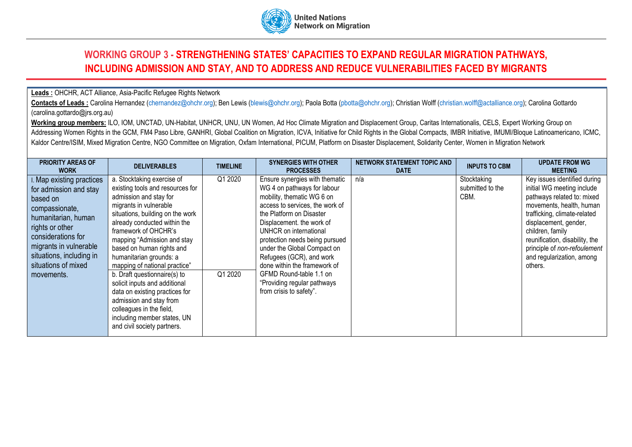

## **WORKING GROUP 3 - STRENGTHENING STATES' CAPACITIES TO EXPAND REGULAR MIGRATION PATHWAYS, INCLUDING ADMISSION AND STAY, AND TO ADDRESS AND REDUCE VULNERABILITIES FACED BY MIGRANTS**

## **Leads :** OHCHR, ACT Alliance, Asia-Pacific Refugee Rights Network

Contacts of Leads : Carolina Hernandez [\(chernandez@ohchr.org\)](mailto:chernandez@ohchr.org); Ben Lewis [\(blewis@ohchr.org\)](mailto:blewis@ohchr.org); Paola Botta [\(pbotta@ohchr.org\)](mailto:pbotta@ohchr.org); Christian Wolff [\(christian.wolff@actalliance.org\)](mailto:christian.wolff@actalliance.org); Carolina Gottardo (carolina.gottardo@jrs.org.au)

**Working group members:** ILO, IOM, UNCTAD, UN-Habitat, UNHCR, UNU, UN Women, Ad Hoc Climate Migration and Displacement Group, Caritas Internationalis, CELS, Expert Working Group on Addressing Women Rights in the GCM, FM4 Paso Libre, GANHRI, Global Coalition on Migration, ICVA, Initiative for Child Rights in the Global Compacts, IMBR Initiative, IMUMI/Bloque Latinoamericano, ICMC, Kaldor Centre/ISIM, Mixed Migration Centre, NGO Committee on Migration, Oxfam International, PICUM, Platform on Disaster Displacement, Solidarity Center, Women in Migration Network

| <b>PRIORITY AREAS OF</b><br><b>WORK</b>                                                                                                                                                                                                   | <b>DELIVERABLES</b>                                                                                                                                                                                                                                                                                                                                                                                                                                                                                                                                            | <b>TIMELINE</b>    | <b>SYNERGIES WITH OTHER</b><br><b>PROCESSES</b>                                                                                                                                                                                                                                                                                                                                                                                     | NETWORK STATEMENT TOPIC AND<br><b>DATE</b> | <b>INPUTS TO CBM</b>                    | <b>UPDATE FROM WG</b><br><b>MEETING</b>                                                                                                                                                                                                                                                                     |
|-------------------------------------------------------------------------------------------------------------------------------------------------------------------------------------------------------------------------------------------|----------------------------------------------------------------------------------------------------------------------------------------------------------------------------------------------------------------------------------------------------------------------------------------------------------------------------------------------------------------------------------------------------------------------------------------------------------------------------------------------------------------------------------------------------------------|--------------------|-------------------------------------------------------------------------------------------------------------------------------------------------------------------------------------------------------------------------------------------------------------------------------------------------------------------------------------------------------------------------------------------------------------------------------------|--------------------------------------------|-----------------------------------------|-------------------------------------------------------------------------------------------------------------------------------------------------------------------------------------------------------------------------------------------------------------------------------------------------------------|
| Map existing practices<br>for admission and stay<br>based on<br>compassionate,<br>humanitarian, human<br>rights or other<br>considerations for<br>migrants in vulnerable<br>situations, including in<br>situations of mixed<br>movements. | a. Stocktaking exercise of<br>existing tools and resources for<br>admission and stay for<br>migrants in vulnerable<br>situations, building on the work<br>already conducted within the<br>framework of OHCHR's<br>mapping "Admission and stay<br>based on human rights and<br>humanitarian grounds: a<br>mapping of national practice"<br>b. Draft questionnaire(s) to<br>solicit inputs and additional<br>data on existing practices for<br>admission and stay from<br>colleagues in the field,<br>including member states, UN<br>and civil society partners. | Q1 2020<br>Q1 2020 | Ensure synergies with thematic<br>WG 4 on pathways for labour<br>mobility, thematic WG 6 on<br>access to services, the work of<br>the Platform on Disaster<br>Displacement. the work of<br>UNHCR on international<br>protection needs being pursued<br>under the Global Compact on<br>Refugees (GCR), and work<br>done within the framework of<br>GFMD Round-table 1.1 on<br>"Providing regular pathways<br>from crisis to safety". | n/a                                        | Stocktaking<br>submitted to the<br>CBM. | Key issues identified during<br>initial WG meeting include<br>pathways related to: mixed<br>movements, health, human<br>trafficking, climate-related<br>displacement, gender,<br>children, family<br>reunification, disability, the<br>principle of non-refoulement<br>and regularization, among<br>others. |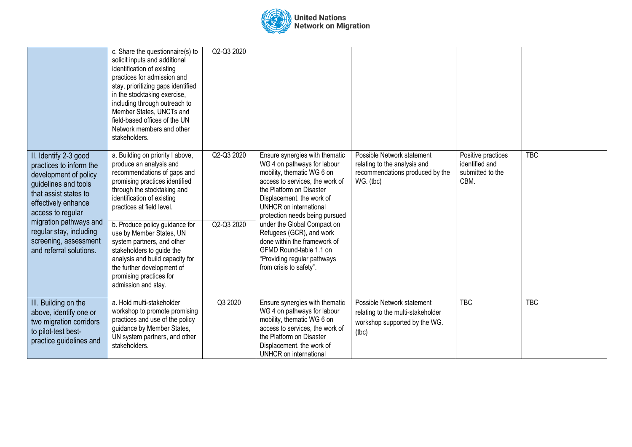

|                                                                                                                                                                                                                             | c. Share the questionnaire(s) to<br>solicit inputs and additional<br>identification of existing<br>practices for admission and<br>stay, prioritizing gaps identified<br>in the stocktaking exercise,<br>including through outreach to<br>Member States, UNCTs and<br>field-based offices of the UN<br>Network members and other<br>stakeholders. | Q2-Q3 2020               |                                                                                                                                                                                                                                                                                                                |                                                                                                            |                                                                  |            |
|-----------------------------------------------------------------------------------------------------------------------------------------------------------------------------------------------------------------------------|--------------------------------------------------------------------------------------------------------------------------------------------------------------------------------------------------------------------------------------------------------------------------------------------------------------------------------------------------|--------------------------|----------------------------------------------------------------------------------------------------------------------------------------------------------------------------------------------------------------------------------------------------------------------------------------------------------------|------------------------------------------------------------------------------------------------------------|------------------------------------------------------------------|------------|
| II. Identify 2-3 good<br>practices to inform the<br>development of policy<br>guidelines and tools<br>that assist states to<br>effectively enhance<br>access to regular<br>migration pathways and<br>regular stay, including | a. Building on priority I above,<br>produce an analysis and<br>recommendations of gaps and<br>promising practices identified<br>through the stocktaking and<br>identification of existing<br>practices at field level.<br>b. Produce policy guidance for<br>use by Member States, UN                                                             | Q2-Q3 2020<br>Q2-Q3 2020 | Ensure synergies with thematic<br>WG 4 on pathways for labour<br>mobility, thematic WG 6 on<br>access to services, the work of<br>the Platform on Disaster<br>Displacement. the work of<br>UNHCR on international<br>protection needs being pursued<br>under the Global Compact on<br>Refugees (GCR), and work | Possible Network statement<br>relating to the analysis and<br>recommendations produced by the<br>WG. (tbc) | Positive practices<br>identified and<br>submitted to the<br>CBM. | <b>TBC</b> |
| screening, assessment<br>and referral solutions.                                                                                                                                                                            | system partners, and other<br>stakeholders to guide the<br>analysis and build capacity for<br>the further development of<br>promising practices for<br>admission and stay.                                                                                                                                                                       |                          | done within the framework of<br>GFMD Round-table 1.1 on<br>"Providing regular pathways<br>from crisis to safety".                                                                                                                                                                                              |                                                                                                            |                                                                  |            |
| III. Building on the<br>above, identify one or<br>two migration corridors<br>to pilot-test best-<br>practice guidelines and                                                                                                 | a. Hold multi-stakeholder<br>workshop to promote promising<br>practices and use of the policy<br>guidance by Member States,<br>UN system partners, and other<br>stakeholders.                                                                                                                                                                    | Q3 2020                  | Ensure synergies with thematic<br>WG 4 on pathways for labour<br>mobility, thematic WG 6 on<br>access to services, the work of<br>the Platform on Disaster<br>Displacement. the work of<br>UNHCR on international                                                                                              | Possible Network statement<br>relating to the multi-stakeholder<br>workshop supported by the WG.<br>(the)  | <b>TBC</b>                                                       | <b>TBC</b> |